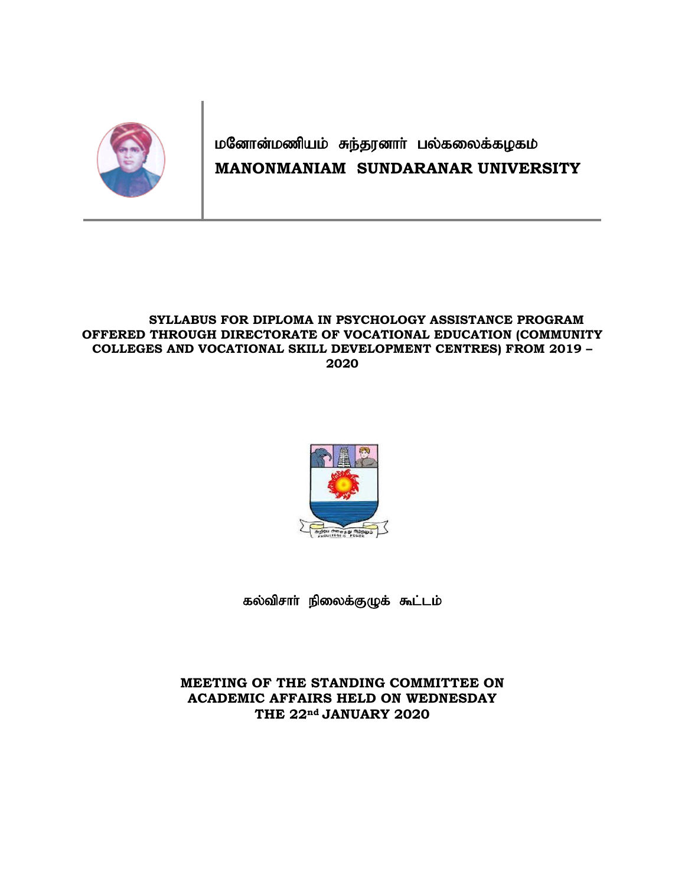

# மனோன்மணியம் சுந்தரனாா் பல்கலைக்கழகம் **MANONMANIAM SUNDARANAR UNIVERSITY**

### **SYLLABUS FOR DIPLOMA IN PSYCHOLOGY ASSISTANCE PROGRAM OFFERED THROUGH DIRECTORATE OF VOCATIONAL EDUCATION (COMMUNITY COLLEGES AND VOCATIONAL SKILL DEVELOPMENT CENTRES) FROM 2019 – 2020**



கல்விசாா் நிலைக்குழுக் கூட்டம்

**MEETING OF THE STANDING COMMITTEE ON ACADEMIC AFFAIRS HELD ON WEDNESDAY THE 22nd JANUARY 2020**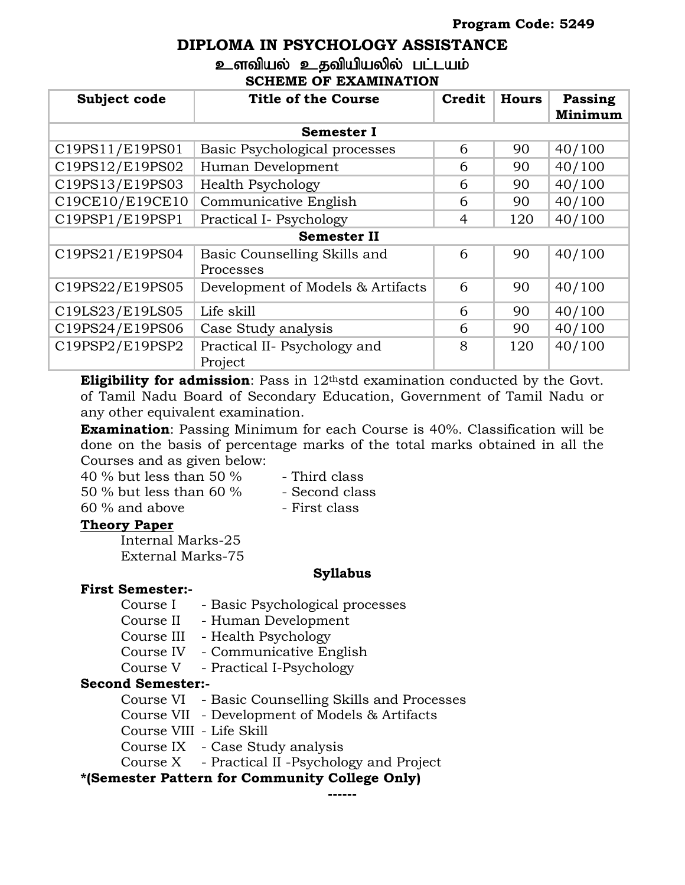# **DIPLOMA IN PSYCHOLOGY ASSISTANCE** உளவியல் உதவியியலில் பட்டயம்

### **SCHEME OF EXAMINATION**

| Subject code       | <b>Title of the Course</b><br>Credit<br><b>Hours</b> |   | Passing<br>Minimum |        |  |  |  |  |
|--------------------|------------------------------------------------------|---|--------------------|--------|--|--|--|--|
| <b>Semester I</b>  |                                                      |   |                    |        |  |  |  |  |
| C19PS11/E19PS01    | Basic Psychological processes                        | 6 | 90                 | 40/100 |  |  |  |  |
| C19PS12/E19PS02    | Human Development                                    | 6 | 90                 | 40/100 |  |  |  |  |
| C19PS13/E19PS03    | <b>Health Psychology</b>                             | 6 | 90                 | 40/100 |  |  |  |  |
| C19CE10/E19CE10    | Communicative English                                | 6 | 90                 | 40/100 |  |  |  |  |
| C19PSP1/E19PSP1    | Practical I- Psychology                              | 4 | 120                | 40/100 |  |  |  |  |
| <b>Semester II</b> |                                                      |   |                    |        |  |  |  |  |
| C19PS21/E19PS04    | Basic Counselling Skills and<br>Processes            | 6 | 90                 | 40/100 |  |  |  |  |
| C19PS22/E19PS05    | Development of Models & Artifacts                    | 6 | 90                 | 40/100 |  |  |  |  |
| C19LS23/E19LS05    | Life skill                                           | 6 | 90                 | 40/100 |  |  |  |  |
| C19PS24/E19PS06    | Case Study analysis                                  | 6 | 90                 | 40/100 |  |  |  |  |
| C19PSP2/E19PSP2    | Practical II- Psychology and<br>Project              | 8 | 120                | 40/100 |  |  |  |  |

**Eligibility for admission**: Pass in 12<sup>th</sup>std examination conducted by the Govt. of Tamil Nadu Board of Secondary Education, Government of Tamil Nadu or any other equivalent examination.

**Examination**: Passing Minimum for each Course is 40%. Classification will be done on the basis of percentage marks of the total marks obtained in all the Courses and as given below:

40 % but less than 50 %  $-$  Third class

- $50\%$  but less than  $60\%$  Second class
- 

 $60\%$  and above  $-$  First class

# **Theory Paper**

Internal Marks-25 External Marks-75

# **Syllabus**

# **First Semester:-**

Course I - Basic Psychological processes

Course II - Human Development

- Course III Health Psychology
- Course IV Communicative English

Course V - Practical I-Psychology

### **Second Semester:-**

Course VI - Basic Counselling Skills and Processes

- Course VII Development of Models & Artifacts
- Course VIII Life Skill
- Course IX Case Study analysis

Course X - Practical II -Psychology and Project

# **\*(Semester Pattern for Community College Only)**

**------**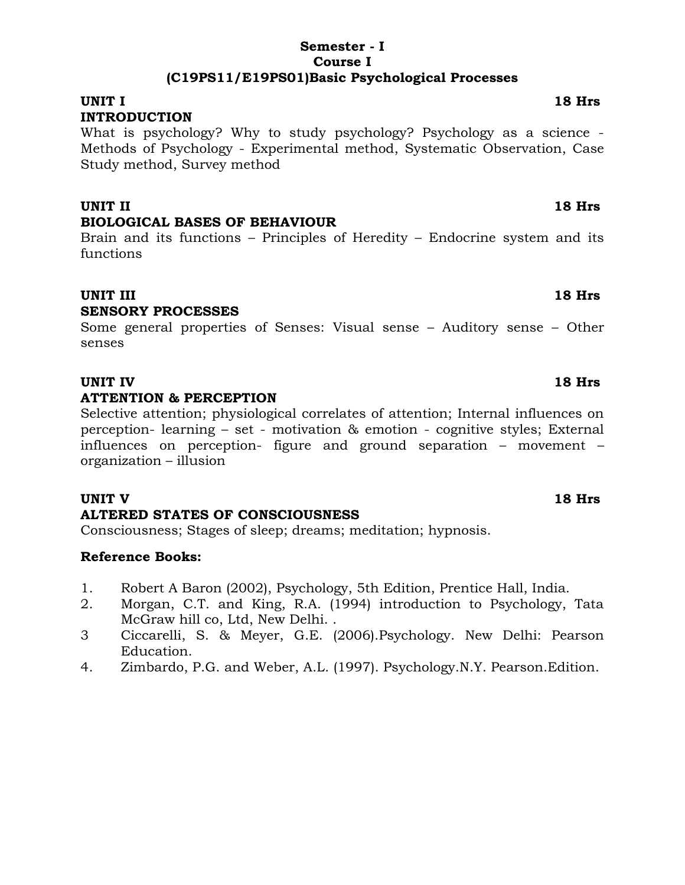### **Semester - I Course I (C19PS11/E19PS01)Basic Psychological Processes**

### **UNIT I 18 Hrs INTRODUCTION**

What is psychology? Why to study psychology? Psychology as a science - Methods of Psychology - Experimental method, Systematic Observation, Case Study method, Survey method

### **UNIT II 18 Hrs BIOLOGICAL BASES OF BEHAVIOUR**

Brain and its functions – Principles of Heredity – Endocrine system and its functions

# **UNIT III** 18 Hrs

### **SENSORY PROCESSES**

Some general properties of Senses: Visual sense – Auditory sense – Other senses

# **UNIT IV 18 Hrs**

### **ATTENTION & PERCEPTION**

Selective attention; physiological correlates of attention; Internal influences on perception- learning – set - motivation & emotion - cognitive styles; External influences on perception- figure and ground separation – movement – organization – illusion

### **UNIT V 18 Hrs**

### **ALTERED STATES OF CONSCIOUSNESS**

Consciousness; Stages of sleep; dreams; meditation; hypnosis.

- 1. Robert A Baron (2002), Psychology, 5th Edition, Prentice Hall, India.
- 2. Morgan, C.T. and King, R.A. (1994) introduction to Psychology, Tata McGraw hill co, Ltd, New Delhi. .
- 3 Ciccarelli, S. & Meyer, G.E. (2006).Psychology. New Delhi: Pearson Education.
- 4. Zimbardo, P.G. and Weber, A.L. (1997). Psychology.N.Y. Pearson.Edition.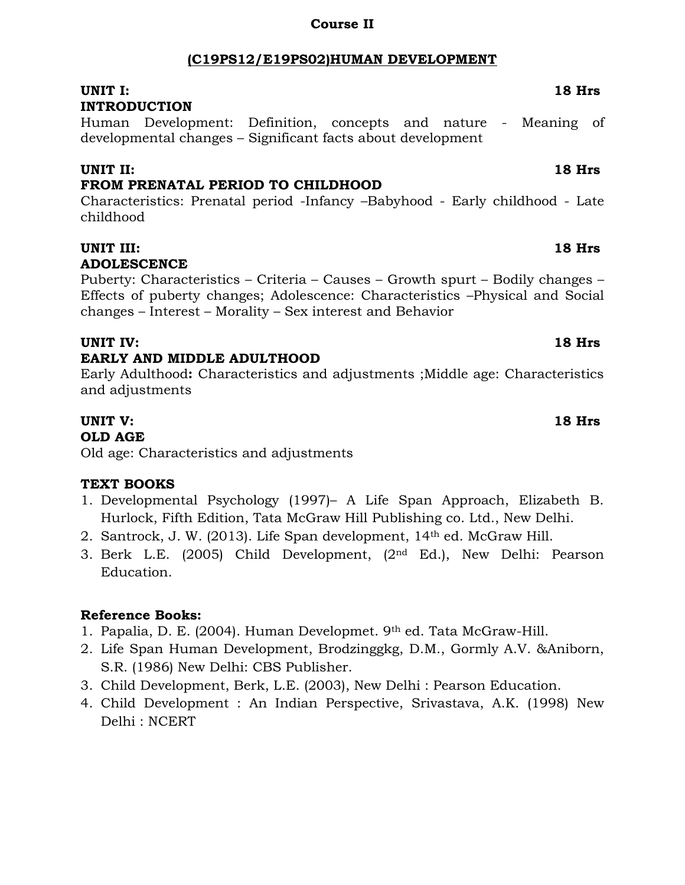# **(C19PS12/E19PS02)HUMAN DEVELOPMENT**

**Course II**

# **UNIT I: 18 Hrs**

# **INTRODUCTION**

Human Development: Definition, concepts and nature - Meaning of developmental changes – Significant facts about development

# **UNIT II: 18 Hrs**

# **FROM PRENATAL PERIOD TO CHILDHOOD**

Characteristics: Prenatal period -Infancy –Babyhood - Early childhood - Late childhood

### **UNIT III: 18 Hrs ADOLESCENCE**

Puberty: Characteristics – Criteria – Causes – Growth spurt – Bodily changes – Effects of puberty changes; Adolescence: Characteristics –Physical and Social changes – Interest – Morality – Sex interest and Behavior

# **UNIT IV: 18 Hrs**

# **EARLY AND MIDDLE ADULTHOOD**

Early Adulthood**:** Characteristics and adjustments ;Middle age: Characteristics and adjustments

# **UNIT V: 18 Hrs**

### **OLD AGE**

Old age: Characteristics and adjustments

# **TEXT BOOKS**

- 1. Developmental Psychology (1997)– A Life Span Approach, Elizabeth B. Hurlock, Fifth Edition, Tata McGraw Hill Publishing co. Ltd., New Delhi.
- 2. Santrock, J. W. (2013). Life Span development, 14th ed. McGraw Hill.
- 3. Berk L.E. (2005) Child Development, (2nd Ed.), New Delhi: Pearson Education.

- 1. Papalia, D. E. (2004). Human Developmet. 9th ed. Tata McGraw-Hill.
- 2. Life Span Human Development, Brodzinggkg, D.M., Gormly A.V. &Aniborn, S.R. (1986) New Delhi: CBS Publisher.
- 3. Child Development, Berk, L.E. (2003), New Delhi : Pearson Education.
- 4. Child Development : An Indian Perspective, Srivastava, A.K. (1998) New Delhi : NCERT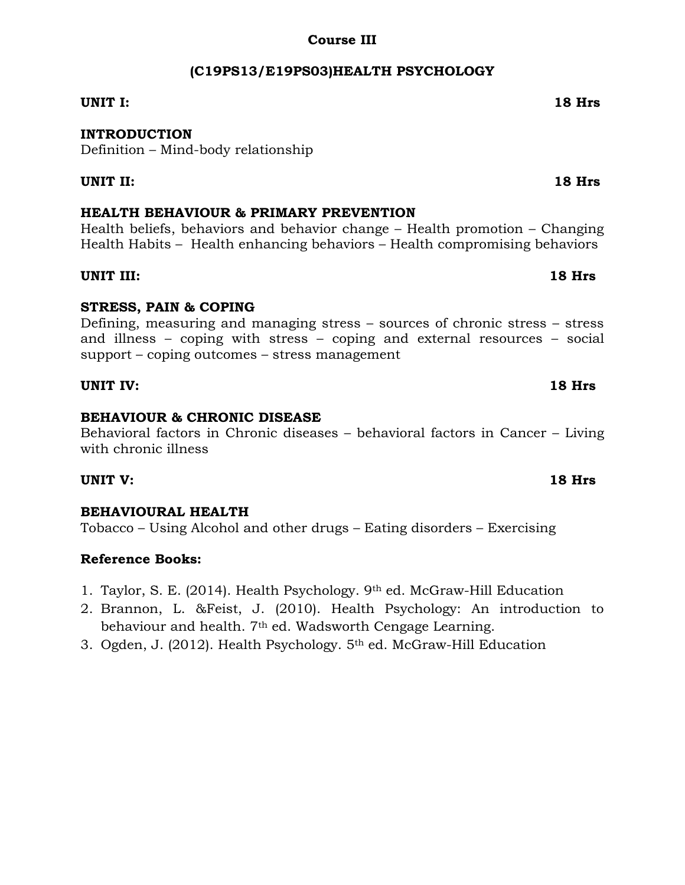# **Course III**

# **(C19PS13/E19PS03)HEALTH PSYCHOLOGY**

### **UNIT I: 18 Hrs**

### **INTRODUCTION**

Definition – Mind-body relationship

### **UNIT II: 18 Hrs**

### **HEALTH BEHAVIOUR & PRIMARY PREVENTION**

Health beliefs, behaviors and behavior change – Health promotion – Changing Health Habits – Health enhancing behaviors – Health compromising behaviors

### **UNIT III: 18 Hrs**

### **STRESS, PAIN & COPING**

Defining, measuring and managing stress – sources of chronic stress – stress and illness – coping with stress – coping and external resources – social support – coping outcomes – stress management

### **UNIT IV: 18 Hrs**

### **BEHAVIOUR & CHRONIC DISEASE**

Behavioral factors in Chronic diseases – behavioral factors in Cancer – Living with chronic illness

### **UNIT V: 18 Hrs**

### **BEHAVIOURAL HEALTH**

Tobacco – Using Alcohol and other drugs – Eating disorders – Exercising

- 1. Taylor, S. E. (2014). Health Psychology. 9th ed. McGraw-Hill Education
- 2. Brannon, L. &Feist, J. (2010). Health Psychology: An introduction to behaviour and health. 7<sup>th</sup> ed. Wadsworth Cengage Learning.
- 3. Ogden, J. (2012). Health Psychology. 5th ed. McGraw-Hill Education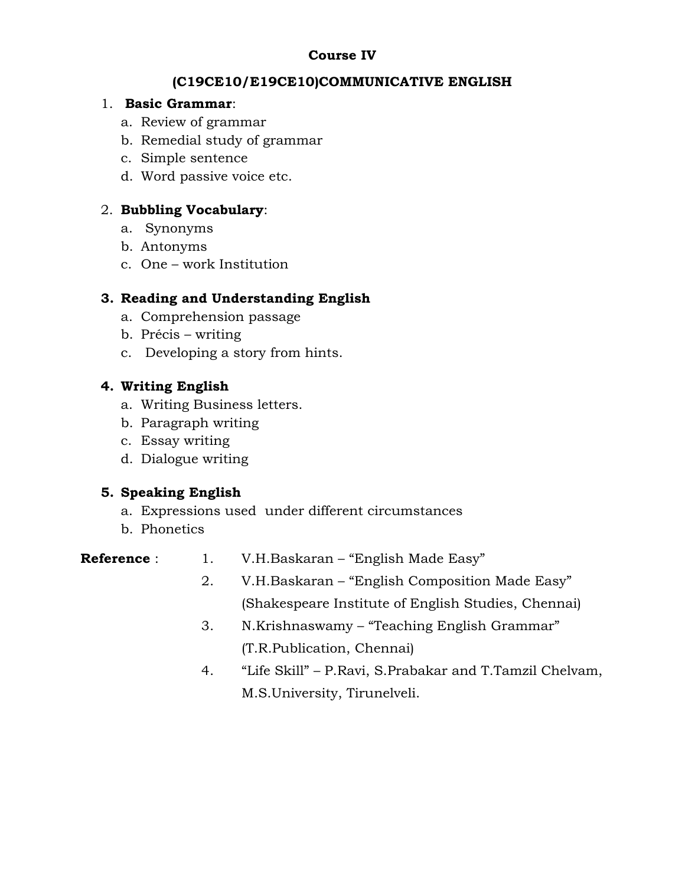# **Course IV**

# **(C19CE10/E19CE10)COMMUNICATIVE ENGLISH**

### 1. **Basic Grammar**:

- a. Review of grammar
- b. Remedial study of grammar
- c. Simple sentence
- d. Word passive voice etc.

# 2. **Bubbling Vocabulary**:

- a. Synonyms
- b. Antonyms
- c. One work Institution

# **3. Reading and Understanding English**

- a. Comprehension passage
- b. Précis writing
- c. Developing a story from hints.

# **4. Writing English**

- a. Writing Business letters.
- b. Paragraph writing
- c. Essay writing
- d. Dialogue writing

# **5. Speaking English**

- a. Expressions used under different circumstances
- b. Phonetics

| <b>Reference:</b> | V.H.Baskaran – "English Made Easy" |
|-------------------|------------------------------------|
|                   |                                    |

- 2. V.H.Baskaran "English Composition Made Easy" (Shakespeare Institute of English Studies, Chennai)
- 3. N.Krishnaswamy "Teaching English Grammar" (T.R.Publication, Chennai)
- 4. "Life Skill" P.Ravi, S.Prabakar and T.Tamzil Chelvam, M.S.University, Tirunelveli.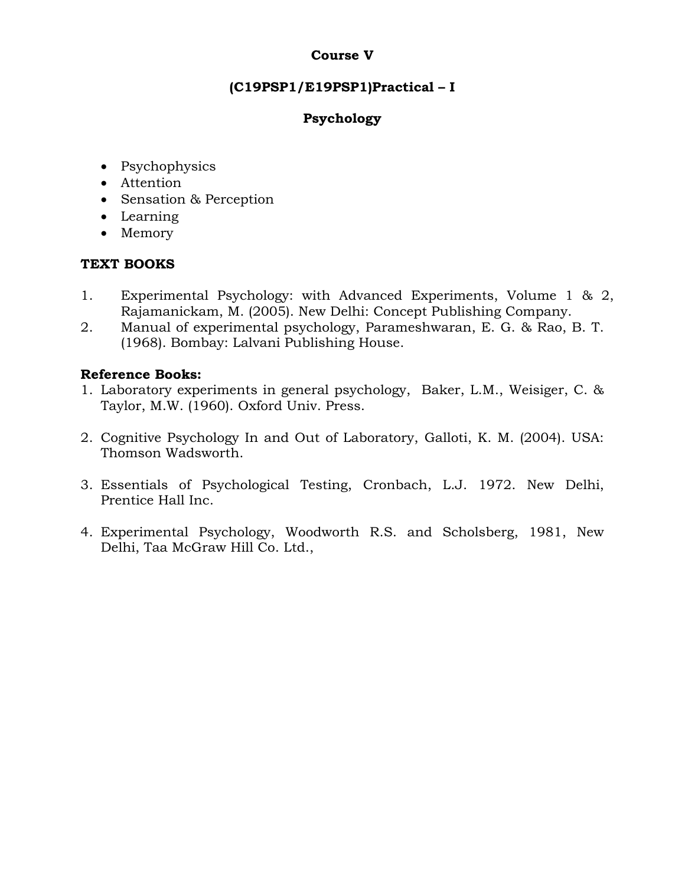## **Course V**

# **(C19PSP1/E19PSP1)Practical – I**

# **Psychology**

- Psychophysics
- Attention
- Sensation & Perception
- Learning
- Memory

# **TEXT BOOKS**

- 1. Experimental Psychology: with Advanced Experiments, Volume 1 & 2, Rajamanickam, M. (2005). New Delhi: Concept Publishing Company.
- 2. Manual of experimental psychology, Parameshwaran, E. G. & Rao, B. T. (1968). Bombay: Lalvani Publishing House.

- 1. Laboratory experiments in general psychology, Baker, L.M., Weisiger, C. & Taylor, M.W. (1960). Oxford Univ. Press.
- 2. Cognitive Psychology In and Out of Laboratory, Galloti, K. M. (2004). USA: Thomson Wadsworth.
- 3. Essentials of Psychological Testing, Cronbach, L.J. 1972. New Delhi, Prentice Hall Inc.
- 4. Experimental Psychology, Woodworth R.S. and Scholsberg, 1981, New Delhi, Taa McGraw Hill Co. Ltd.,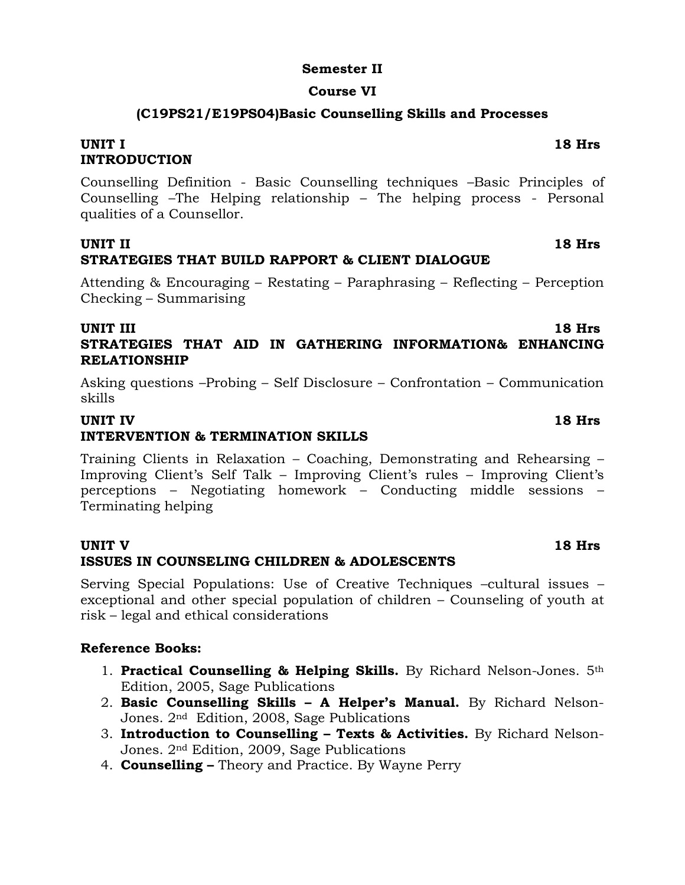### **Semester II**

### **Course VI**

### **(C19PS21/E19PS04)Basic Counselling Skills and Processes**

### **UNIT I 18 Hrs INTRODUCTION**

Counselling Definition - Basic Counselling techniques –Basic Principles of Counselling –The Helping relationship – The helping process - Personal qualities of a Counsellor.

### **UNIT II 18 Hrs STRATEGIES THAT BUILD RAPPORT & CLIENT DIALOGUE**

Attending & Encouraging – Restating – Paraphrasing – Reflecting – Perception Checking – Summarising

### **UNIT III** 18 Hrs **STRATEGIES THAT AID IN GATHERING INFORMATION& ENHANCING RELATIONSHIP**

Asking questions –Probing – Self Disclosure – Confrontation – Communication skills

### **UNIT IV 18 Hrs**

# **INTERVENTION & TERMINATION SKILLS**

Training Clients in Relaxation – Coaching, Demonstrating and Rehearsing – Improving Client's Self Talk – Improving Client's rules – Improving Client's perceptions – Negotiating homework – Conducting middle sessions – Terminating helping

### **UNIT V 18 Hrs ISSUES IN COUNSELING CHILDREN & ADOLESCENTS**

Serving Special Populations: Use of Creative Techniques –cultural issues – exceptional and other special population of children – Counseling of youth at risk – legal and ethical considerations

- 1. **Practical Counselling & Helping Skills.** By Richard Nelson-Jones. 5th Edition, 2005, Sage Publications
- 2. **Basic Counselling Skills – A Helper's Manual.** By Richard Nelson-Jones. 2nd Edition, 2008, Sage Publications
- 3. **Introduction to Counselling – Texts & Activities.** By Richard Nelson-Jones. 2nd Edition, 2009, Sage Publications
- 4. **Counselling –** Theory and Practice. By Wayne Perry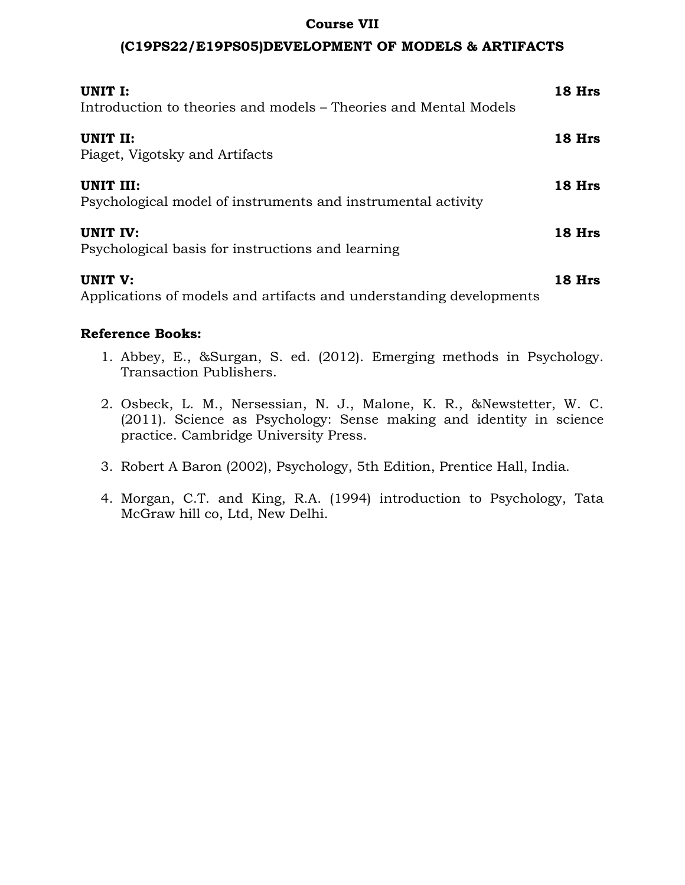### **Course VII**

### **(C19PS22/E19PS05)DEVELOPMENT OF MODELS & ARTIFACTS**

| UNIT I:<br>Introduction to theories and models – Theories and Mental Models | 18 Hrs |
|-----------------------------------------------------------------------------|--------|
| UNIT II:<br>Piaget, Vigotsky and Artifacts                                  | 18 Hrs |
| UNIT III:<br>Psychological model of instruments and instrumental activity   | 18 Hrs |
| UNIT IV:<br>Psychological basis for instructions and learning               | 18 Hrs |
| UNIT V:                                                                     | 18 Hrs |

Applications of models and artifacts and understanding developments

- 1. Abbey, E., &Surgan, S. ed. (2012). Emerging methods in Psychology. Transaction Publishers.
- 2. Osbeck, L. M., Nersessian, N. J., Malone, K. R., &Newstetter, W. C. (2011). Science as Psychology: Sense making and identity in science practice. Cambridge University Press.
- 3. Robert A Baron (2002), Psychology, 5th Edition, Prentice Hall, India.
- 4. Morgan, C.T. and King, R.A. (1994) introduction to Psychology, Tata McGraw hill co, Ltd, New Delhi.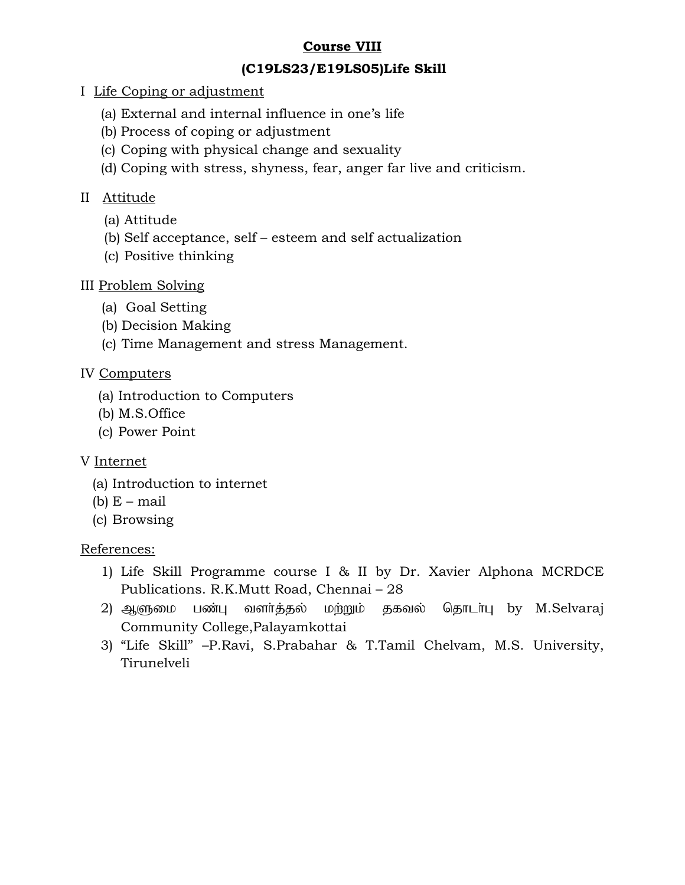# **Course VIII**

# **(C19LS23/E19LS05)Life Skill**

- I Life Coping or adjustment
	- (a) External and internal influence in one's life
	- (b) Process of coping or adjustment
	- (c) Coping with physical change and sexuality
	- (d) Coping with stress, shyness, fear, anger far live and criticism.

# II Attitude

- (a) Attitude
- (b) Self acceptance, self esteem and self actualization
- (c) Positive thinking

# III Problem Solving

- (a) Goal Setting
- (b) Decision Making
- (c) Time Management and stress Management.

# IV Computers

- (a) Introduction to Computers
- (b) M.S.Office
- (c) Power Point

# V Internet

- (a) Introduction to internet
- (b)  $E$  mail
- (c) Browsing

# References:

- 1) Life Skill Programme course I & II by Dr. Xavier Alphona MCRDCE Publications. R.K.Mutt Road, Chennai – 28
- 2) ஆளுமை பண்பு வளர்த்தல் மற்றும் தகவல் தொடர்பு by M.Selvaraj Community College,Palayamkottai
- 3) "Life Skill" –P.Ravi, S.Prabahar & T.Tamil Chelvam, M.S. University, Tirunelveli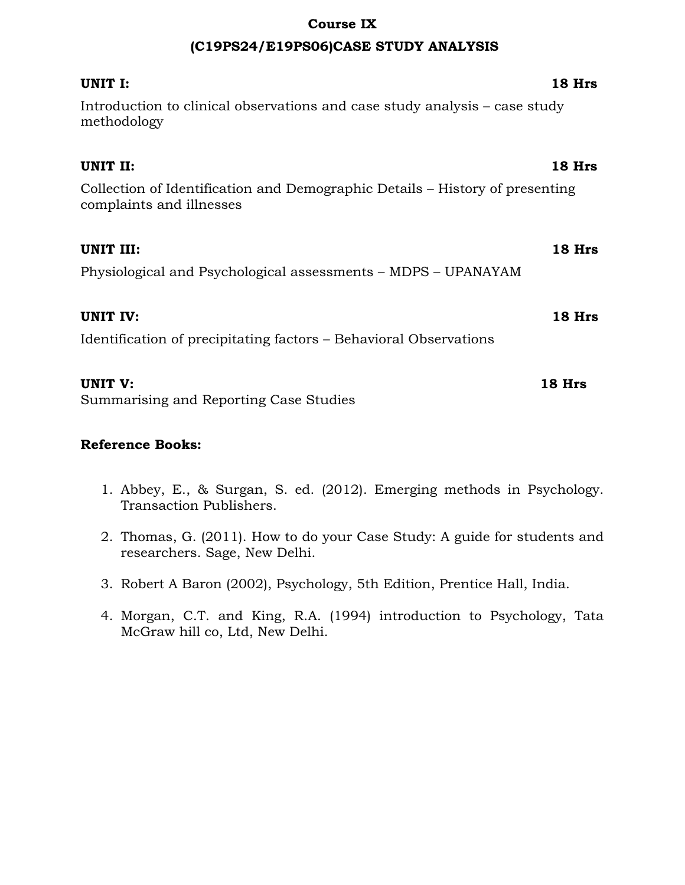### **Course IX**

### **(C19PS24/E19PS06)CASE STUDY ANALYSIS**

| UNIT I:                                                                                                  | 18 Hrs |
|----------------------------------------------------------------------------------------------------------|--------|
| Introduction to clinical observations and case study analysis – case study<br>methodology                |        |
| UNIT II:                                                                                                 | 18 Hrs |
| Collection of Identification and Demographic Details – History of presenting<br>complaints and illnesses |        |
| UNIT III:                                                                                                | 18 Hrs |
| Physiological and Psychological assessments – MDPS – UPANAYAM                                            |        |
| <b>UNIT IV:</b>                                                                                          | 18 Hrs |
| Identification of precipitating factors – Behavioral Observations                                        |        |
| UNIT V:                                                                                                  | 18 Hrs |
| Summarising and Reporting Case Studies                                                                   |        |

- 1. Abbey, E., & Surgan, S. ed. (2012). Emerging methods in Psychology. Transaction Publishers.
- 2. Thomas, G. (2011). How to do your Case Study: A guide for students and researchers. Sage, New Delhi.
- 3. Robert A Baron (2002), Psychology, 5th Edition, Prentice Hall, India.
- 4. Morgan, C.T. and King, R.A. (1994) introduction to Psychology, Tata McGraw hill co, Ltd, New Delhi.